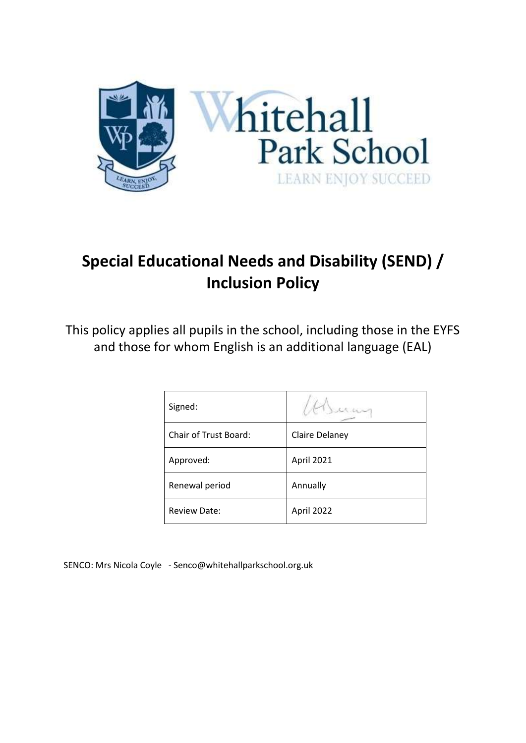

# **Special Educational Needs and Disability (SEND) / Inclusion Policy**

This policy applies all pupils in the school, including those in the EYFS and those for whom English is an additional language (EAL)

| Signed:                      |                       |
|------------------------------|-----------------------|
| <b>Chair of Trust Board:</b> | <b>Claire Delaney</b> |
| Approved:                    | April 2021            |
| Renewal period               | Annually              |
| <b>Review Date:</b>          | April 2022            |

SENCO: Mrs Nicola Coyle - Senco@whitehallparkschool.org.uk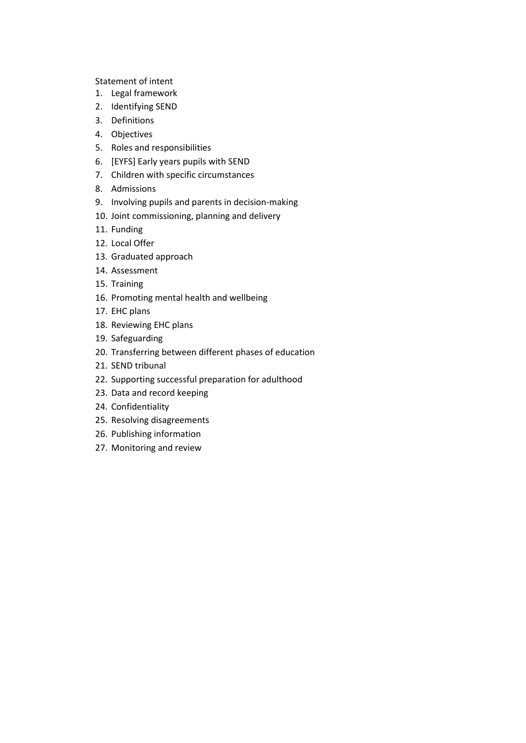Statement of intent

- 1. [Legal framework](#page-3-0)
- 2. [Identifying SEND](#page-3-1)
- 3. [Definitions](#page-4-0)
- 4. [Objectives](#page-5-0)
- 5. [Roles and responsibilities](#page-5-1)
- 6. [EYFS] [Early years pupils with SEND](#page-8-0)
- 7. [Children with specific circumstances](#page-9-0)
- 8. [Admissions](#page-9-1)
- 9. [Involving pupils and parents in decision-making](#page-10-0)
- 10. [Joint commissioning, planning and delivery](#page-10-1)
- 11. [Funding](#page-11-0)
- 12. [Local Offer](#page-11-1)
- 13. [Graduated approach](#page-11-2)
- 14. [Assessment](#page-12-0)
- 15. [Training](#page-12-1)
- 16. [Promoting mental health and wellbeing](#page-13-0)
- 17. [EHC plans](#page-14-0)
- 18. [Reviewing EHC plans](#page-15-0)
- 19. [Safeguarding](#page-15-1)
- 20. [Transferring between different phases of education](#page-16-0)
- 21. [SEND tribunal](#page-16-1)
- 22. [Supporting successful preparation for adulthood](#page-17-0)
- 23. [Data and record keeping](#page-17-1)
- 24. [Confidentiality](#page-17-2)
- 25. [Resolving disagreements](#page-18-0)
- 26. [Publishing information](#page-18-1)
- 27. [Monitoring and review](#page-18-2)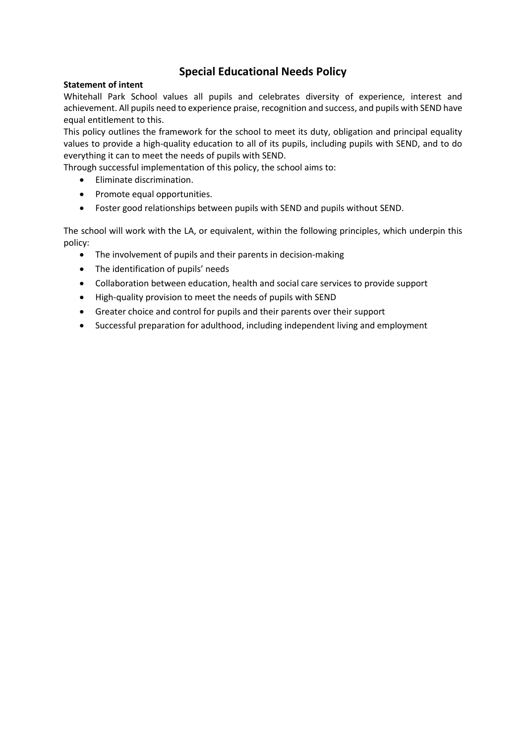# **Special Educational Needs Policy**

#### **Statement of intent**

Whitehall Park School values all pupils and celebrates diversity of experience, interest and achievement. All pupils need to experience praise, recognition and success, and pupils with SEND have equal entitlement to this.

This policy outlines the framework for the school to meet its duty, obligation and principal equality values to provide a high-quality education to all of its pupils, including pupils with SEND, and to do everything it can to meet the needs of pupils with SEND.

Through successful implementation of this policy, the school aims to:

- Eliminate discrimination.
- Promote equal opportunities.
- Foster good relationships between pupils with SEND and pupils without SEND.

The school will work with the LA, or equivalent, within the following principles, which underpin this policy:

- The involvement of pupils and their parents in decision-making
- The identification of pupils' needs
- Collaboration between education, health and social care services to provide support
- High-quality provision to meet the needs of pupils with SEND
- Greater choice and control for pupils and their parents over their support
- Successful preparation for adulthood, including independent living and employment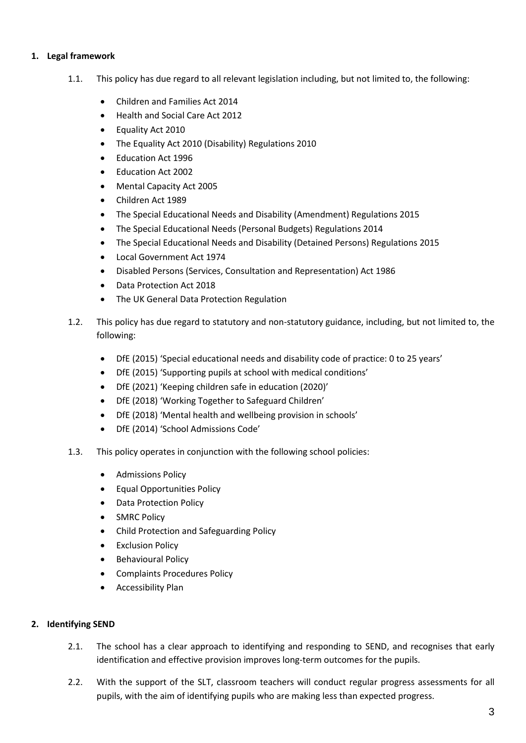# <span id="page-3-0"></span>**1. Legal framework**

- 1.1. This policy has due regard to all relevant legislation including, but not limited to, the following:
	- Children and Families Act 2014
	- Health and Social Care Act 2012
	- Equality Act 2010
	- The Equality Act 2010 (Disability) Regulations 2010
	- Education Act 1996
	- Education Act 2002
	- Mental Capacity Act 2005
	- Children Act 1989
	- The Special Educational Needs and Disability (Amendment) Regulations 2015
	- The Special Educational Needs (Personal Budgets) Regulations 2014
	- The Special Educational Needs and Disability (Detained Persons) Regulations 2015
	- Local Government Act 1974
	- Disabled Persons (Services, Consultation and Representation) Act 1986
	- Data Protection Act 2018
	- The UK General Data Protection Regulation
- 1.2. This policy has due regard to statutory and non-statutory guidance, including, but not limited to, the following:
	- DfE (2015) 'Special educational needs and disability code of practice: 0 to 25 years'
	- DfE (2015) 'Supporting pupils at school with medical conditions'
	- DfE (2021) 'Keeping children safe in education (2020)'
	- DfE (2018) 'Working Together to Safeguard Children'
	- DfE (2018) 'Mental health and wellbeing provision in schools'
	- DfE (2014) 'School Admissions Code'
- 1.3. This policy operates in conjunction with the following school policies:
	- Admissions Policy
	- Equal Opportunities Policy
	- Data Protection Policy
	- SMRC Policy
	- Child Protection and Safeguarding Policy
	- Exclusion Policy
	- Behavioural Policy
	- Complaints Procedures Policy
	- **•** Accessibility Plan

# <span id="page-3-1"></span>**2. Identifying SEND**

- 2.1. The school has a clear approach to identifying and responding to SEND, and recognises that early identification and effective provision improves long-term outcomes for the pupils.
- 2.2. With the support of the SLT, classroom teachers will conduct regular progress assessments for all pupils, with the aim of identifying pupils who are making less than expected progress.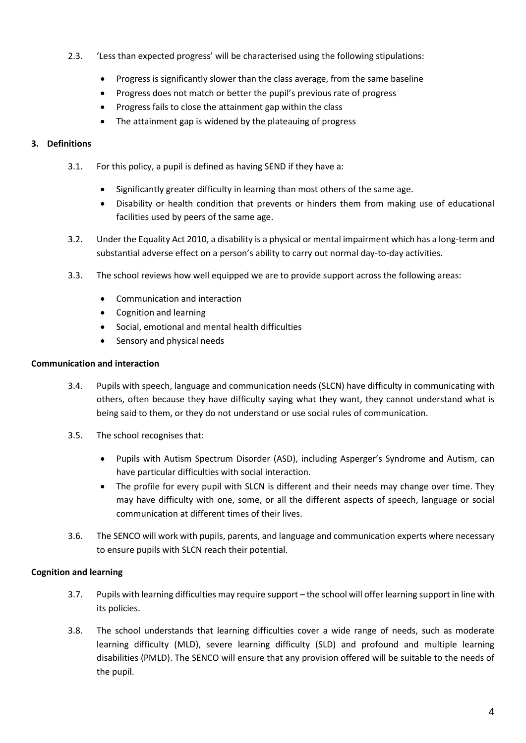- 2.3. 'Less than expected progress' will be characterised using the following stipulations:
	- Progress is significantly slower than the class average, from the same baseline
	- Progress does not match or better the pupil's previous rate of progress
	- Progress fails to close the attainment gap within the class
	- The attainment gap is widened by the plateauing of progress

# <span id="page-4-0"></span>**3. Definitions**

- 3.1. For this policy, a pupil is defined as having SEND if they have a:
	- Significantly greater difficulty in learning than most others of the same age.
	- Disability or health condition that prevents or hinders them from making use of educational facilities used by peers of the same age.
- 3.2. Under the Equality Act 2010, a disability is a physical or mental impairment which has a long-term and substantial adverse effect on a person's ability to carry out normal day-to-day activities.
- 3.3. The school reviews how well equipped we are to provide support across the following areas:
	- Communication and interaction
	- Cognition and learning
	- Social, emotional and mental health difficulties
	- Sensory and physical needs

# **Communication and interaction**

- 3.4. Pupils with speech, language and communication needs (SLCN) have difficulty in communicating with others, often because they have difficulty saying what they want, they cannot understand what is being said to them, or they do not understand or use social rules of communication.
- 3.5. The school recognises that:
	- Pupils with Autism Spectrum Disorder (ASD), including Asperger's Syndrome and Autism, can have particular difficulties with social interaction.
	- The profile for every pupil with SLCN is different and their needs may change over time. They may have difficulty with one, some, or all the different aspects of speech, language or social communication at different times of their lives.
- 3.6. The SENCO will work with pupils, parents, and language and communication experts where necessary to ensure pupils with SLCN reach their potential.

# **Cognition and learning**

- 3.7. Pupils with learning difficulties may require support the school will offer learning support in line with its policies.
- 3.8. The school understands that learning difficulties cover a wide range of needs, such as moderate learning difficulty (MLD), severe learning difficulty (SLD) and profound and multiple learning disabilities (PMLD). The SENCO will ensure that any provision offered will be suitable to the needs of the pupil.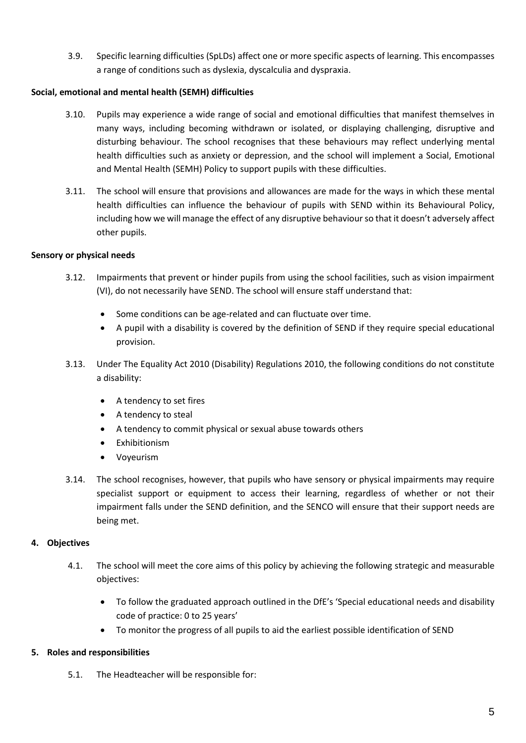3.9. Specific learning difficulties (SpLDs) affect one or more specific aspects of learning. This encompasses a range of conditions such as dyslexia, dyscalculia and dyspraxia.

# **Social, emotional and mental health (SEMH) difficulties**

- 3.10. Pupils may experience a wide range of social and emotional difficulties that manifest themselves in many ways, including becoming withdrawn or isolated, or displaying challenging, disruptive and disturbing behaviour. The school recognises that these behaviours may reflect underlying mental health difficulties such as anxiety or depression, and the school will implement a Social, Emotional and Mental Health (SEMH) Policy to support pupils with these difficulties.
- 3.11. The school will ensure that provisions and allowances are made for the ways in which these mental health difficulties can influence the behaviour of pupils with SEND within its Behavioural Policy, including how we will manage the effect of any disruptive behaviour so that it doesn't adversely affect other pupils.

# **Sensory or physical needs**

- 3.12. Impairments that prevent or hinder pupils from using the school facilities, such as vision impairment (VI), do not necessarily have SEND. The school will ensure staff understand that:
	- Some conditions can be age-related and can fluctuate over time.
	- A pupil with a disability is covered by the definition of SEND if they require special educational provision.
- 3.13. Under The Equality Act 2010 (Disability) Regulations 2010, the following conditions do not constitute a disability:
	- A tendency to set fires
	- A tendency to steal
	- A tendency to commit physical or sexual abuse towards others
	- Exhibitionism
	- Voyeurism
- 3.14. The school recognises, however, that pupils who have sensory or physical impairments may require specialist support or equipment to access their learning, regardless of whether or not their impairment falls under the SEND definition, and the SENCO will ensure that their support needs are being met.

# <span id="page-5-0"></span>**4. Objectives**

- 4.1. The school will meet the core aims of this policy by achieving the following strategic and measurable objectives:
	- To follow the graduated approach outlined in the DfE's 'Special educational needs and disability code of practice: 0 to 25 years'
	- To monitor the progress of all pupils to aid the earliest possible identification of SEND

# <span id="page-5-1"></span>**5. Roles and responsibilities**

5.1. The Headteacher will be responsible for: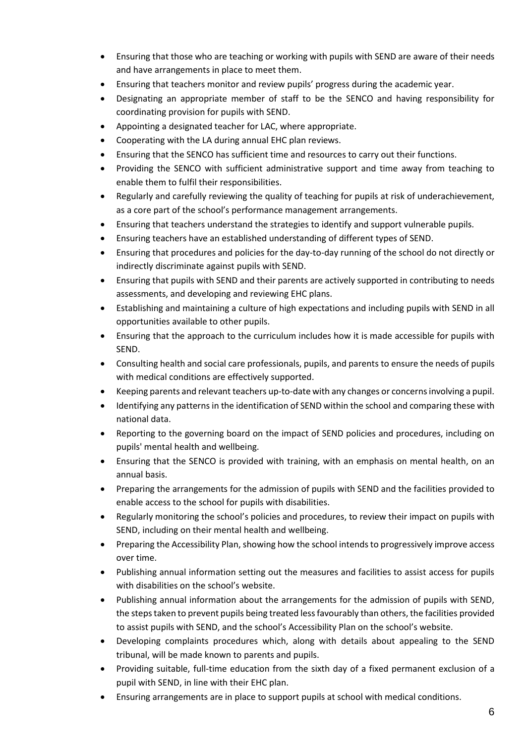- Ensuring that those who are teaching or working with pupils with SEND are aware of their needs and have arrangements in place to meet them.
- Ensuring that teachers monitor and review pupils' progress during the academic year.
- Designating an appropriate member of staff to be the SENCO and having responsibility for coordinating provision for pupils with SEND.
- Appointing a designated teacher for LAC, where appropriate.
- Cooperating with the LA during annual EHC plan reviews.
- Ensuring that the SENCO has sufficient time and resources to carry out their functions.
- Providing the SENCO with sufficient administrative support and time away from teaching to enable them to fulfil their responsibilities.
- Regularly and carefully reviewing the quality of teaching for pupils at risk of underachievement, as a core part of the school's performance management arrangements.
- Ensuring that teachers understand the strategies to identify and support vulnerable pupils.
- Ensuring teachers have an established understanding of different types of SEND.
- Ensuring that procedures and policies for the day-to-day running of the school do not directly or indirectly discriminate against pupils with SEND.
- Ensuring that pupils with SEND and their parents are actively supported in contributing to needs assessments, and developing and reviewing EHC plans.
- Establishing and maintaining a culture of high expectations and including pupils with SEND in all opportunities available to other pupils.
- Ensuring that the approach to the curriculum includes how it is made accessible for pupils with SEND.
- Consulting health and social care professionals, pupils, and parents to ensure the needs of pupils with medical conditions are effectively supported.
- Keeping parents and relevant teachers up-to-date with any changes or concerns involving a pupil.
- Identifying any patterns in the identification of SEND within the school and comparing these with national data.
- Reporting to the governing board on the impact of SEND policies and procedures, including on pupils' mental health and wellbeing.
- Ensuring that the SENCO is provided with training, with an emphasis on mental health, on an annual basis.
- Preparing the arrangements for the admission of pupils with SEND and the facilities provided to enable access to the school for pupils with disabilities.
- Regularly monitoring the school's policies and procedures, to review their impact on pupils with SEND, including on their mental health and wellbeing.
- Preparing the Accessibility Plan, showing how the school intends to progressively improve access over time.
- Publishing annual information setting out the measures and facilities to assist access for pupils with disabilities on the school's website.
- Publishing annual information about the arrangements for the admission of pupils with SEND, the steps taken to prevent pupils being treated less favourably than others, the facilities provided to assist pupils with SEND, and the school's Accessibility Plan on the school's website.
- Developing complaints procedures which, along with details about appealing to the SEND tribunal, will be made known to parents and pupils.
- Providing suitable, full-time education from the sixth day of a fixed permanent exclusion of a pupil with SEND, in line with their EHC plan.
- Ensuring arrangements are in place to support pupils at school with medical conditions.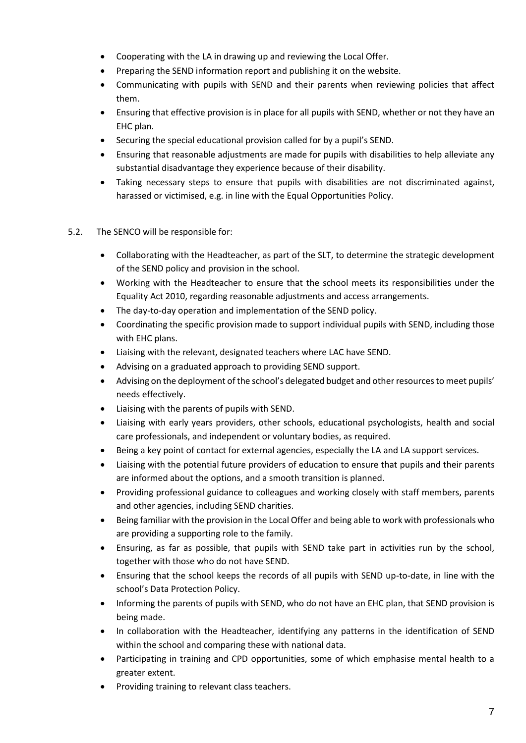- Cooperating with the LA in drawing up and reviewing the Local Offer.
- Preparing the SEND information report and publishing it on the website.
- Communicating with pupils with SEND and their parents when reviewing policies that affect them.
- Ensuring that effective provision is in place for all pupils with SEND, whether or not they have an EHC plan.
- Securing the special educational provision called for by a pupil's SEND.
- Ensuring that reasonable adjustments are made for pupils with disabilities to help alleviate any substantial disadvantage they experience because of their disability.
- Taking necessary steps to ensure that pupils with disabilities are not discriminated against, harassed or victimised, e.g. in line with the Equal Opportunities Policy.
- 5.2. The SENCO will be responsible for:
	- Collaborating with the Headteacher, as part of the SLT, to determine the strategic development of the SEND policy and provision in the school.
	- Working with the Headteacher to ensure that the school meets its responsibilities under the Equality Act 2010, regarding reasonable adjustments and access arrangements.
	- The day-to-day operation and implementation of the SEND policy.
	- Coordinating the specific provision made to support individual pupils with SEND, including those with EHC plans.
	- Liaising with the relevant, designated teachers where LAC have SEND.
	- Advising on a graduated approach to providing SEND support.
	- Advising on the deployment of the school's delegated budget and other resources to meet pupils' needs effectively.
	- Liaising with the parents of pupils with SEND.
	- Liaising with early years providers, other schools, educational psychologists, health and social care professionals, and independent or voluntary bodies, as required.
	- Being a key point of contact for external agencies, especially the LA and LA support services.
	- Liaising with the potential future providers of education to ensure that pupils and their parents are informed about the options, and a smooth transition is planned.
	- Providing professional guidance to colleagues and working closely with staff members, parents and other agencies, including SEND charities.
	- Being familiar with the provision in the Local Offer and being able to work with professionals who are providing a supporting role to the family.
	- Ensuring, as far as possible, that pupils with SEND take part in activities run by the school, together with those who do not have SEND.
	- Ensuring that the school keeps the records of all pupils with SEND up-to-date, in line with the school's Data Protection Policy.
	- Informing the parents of pupils with SEND, who do not have an EHC plan, that SEND provision is being made.
	- In collaboration with the Headteacher, identifying any patterns in the identification of SEND within the school and comparing these with national data.
	- Participating in training and CPD opportunities, some of which emphasise mental health to a greater extent.
	- Providing training to relevant class teachers.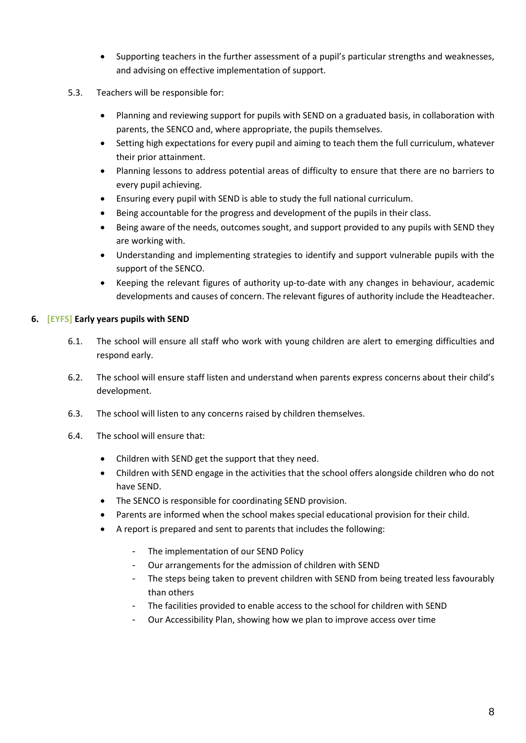- Supporting teachers in the further assessment of a pupil's particular strengths and weaknesses, and advising on effective implementation of support.
- 5.3. Teachers will be responsible for:
	- Planning and reviewing support for pupils with SEND on a graduated basis, in collaboration with parents, the SENCO and, where appropriate, the pupils themselves.
	- Setting high expectations for every pupil and aiming to teach them the full curriculum, whatever their prior attainment.
	- Planning lessons to address potential areas of difficulty to ensure that there are no barriers to every pupil achieving.
	- Ensuring every pupil with SEND is able to study the full national curriculum.
	- Being accountable for the progress and development of the pupils in their class.
	- Being aware of the needs, outcomes sought, and support provided to any pupils with SEND they are working with.
	- Understanding and implementing strategies to identify and support vulnerable pupils with the support of the SENCO.
	- Keeping the relevant figures of authority up-to-date with any changes in behaviour, academic developments and causes of concern. The relevant figures of authority include the Headteacher.

# <span id="page-8-0"></span>**6. [EYFS] Early years pupils with SEND**

- 6.1. The school will ensure all staff who work with young children are alert to emerging difficulties and respond early.
- 6.2. The school will ensure staff listen and understand when parents express concerns about their child's development.
- 6.3. The school will listen to any concerns raised by children themselves.
- 6.4. The school will ensure that:
	- Children with SEND get the support that they need.
	- Children with SEND engage in the activities that the school offers alongside children who do not have SEND.
	- The SENCO is responsible for coordinating SEND provision.
	- Parents are informed when the school makes special educational provision for their child.
	- A report is prepared and sent to parents that includes the following:
		- The implementation of our SEND Policy
		- Our arrangements for the admission of children with SEND
		- The steps being taken to prevent children with SEND from being treated less favourably than others
		- The facilities provided to enable access to the school for children with SEND
		- Our Accessibility Plan, showing how we plan to improve access over time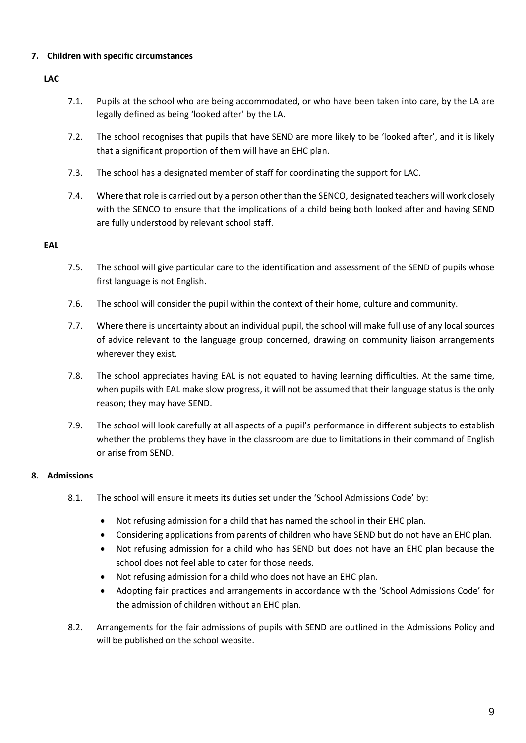# <span id="page-9-0"></span>**7. Children with specific circumstances**

# **LAC**

- 7.1. Pupils at the school who are being accommodated, or who have been taken into care, by the LA are legally defined as being 'looked after' by the LA.
- 7.2. The school recognises that pupils that have SEND are more likely to be 'looked after', and it is likely that a significant proportion of them will have an EHC plan.
- 7.3. The school has a designated member of staff for coordinating the support for LAC.
- 7.4. Where that role is carried out by a person other than the SENCO, designated teachers will work closely with the SENCO to ensure that the implications of a child being both looked after and having SEND are fully understood by relevant school staff.

#### **EAL**

- 7.5. The school will give particular care to the identification and assessment of the SEND of pupils whose first language is not English.
- 7.6. The school will consider the pupil within the context of their home, culture and community.
- 7.7. Where there is uncertainty about an individual pupil, the school will make full use of any local sources of advice relevant to the language group concerned, drawing on community liaison arrangements wherever they exist.
- 7.8. The school appreciates having EAL is not equated to having learning difficulties. At the same time, when pupils with EAL make slow progress, it will not be assumed that their language status is the only reason; they may have SEND.
- 7.9. The school will look carefully at all aspects of a pupil's performance in different subjects to establish whether the problems they have in the classroom are due to limitations in their command of English or arise from SEND.

# <span id="page-9-1"></span>**8. Admissions**

- 8.1. The school will ensure it meets its duties set under the 'School Admissions Code' by:
	- Not refusing admission for a child that has named the school in their EHC plan.
		- Considering applications from parents of children who have SEND but do not have an EHC plan.
		- Not refusing admission for a child who has SEND but does not have an EHC plan because the school does not feel able to cater for those needs.
	- Not refusing admission for a child who does not have an EHC plan.
	- Adopting fair practices and arrangements in accordance with the 'School Admissions Code' for the admission of children without an EHC plan.
- 8.2. Arrangements for the fair admissions of pupils with SEND are outlined in the Admissions Policy and will be published on the school website.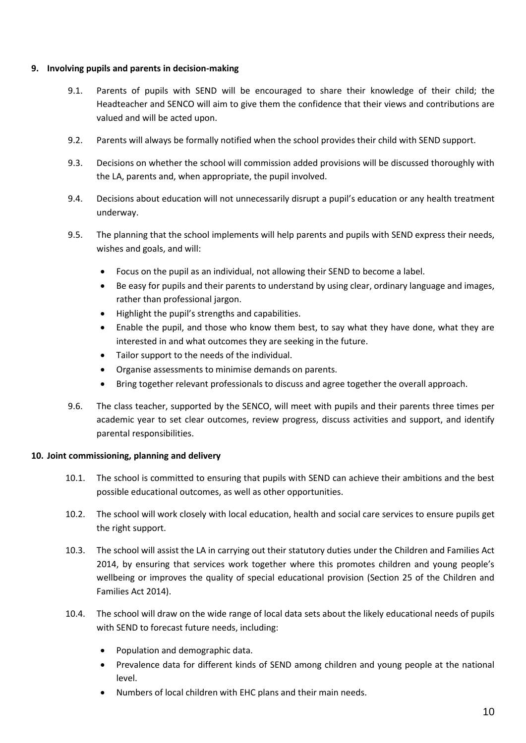#### <span id="page-10-0"></span>**9. Involving pupils and parents in decision-making**

- 9.1. Parents of pupils with SEND will be encouraged to share their knowledge of their child; the Headteacher and SENCO will aim to give them the confidence that their views and contributions are valued and will be acted upon.
- 9.2. Parents will always be formally notified when the school provides their child with SEND support.
- 9.3. Decisions on whether the school will commission added provisions will be discussed thoroughly with the LA, parents and, when appropriate, the pupil involved.
- 9.4. Decisions about education will not unnecessarily disrupt a pupil's education or any health treatment underway.
- 9.5. The planning that the school implements will help parents and pupils with SEND express their needs, wishes and goals, and will:
	- Focus on the pupil as an individual, not allowing their SEND to become a label.
	- Be easy for pupils and their parents to understand by using clear, ordinary language and images, rather than professional jargon.
	- Highlight the pupil's strengths and capabilities.
	- Enable the pupil, and those who know them best, to say what they have done, what they are interested in and what outcomes they are seeking in the future.
	- Tailor support to the needs of the individual.
	- Organise assessments to minimise demands on parents.
	- Bring together relevant professionals to discuss and agree together the overall approach.
- 9.6. The class teacher, supported by the SENCO, will meet with pupils and their parents three times per academic year to set clear outcomes, review progress, discuss activities and support, and identify parental responsibilities.

#### <span id="page-10-1"></span>**10. Joint commissioning, planning and delivery**

- 10.1. The school is committed to ensuring that pupils with SEND can achieve their ambitions and the best possible educational outcomes, as well as other opportunities.
- 10.2. The school will work closely with local education, health and social care services to ensure pupils get the right support.
- 10.3. The school will assist the LA in carrying out their statutory duties under the Children and Families Act 2014, by ensuring that services work together where this promotes children and young people's wellbeing or improves the quality of special educational provision (Section 25 of the Children and Families Act 2014).
- 10.4. The school will draw on the wide range of local data sets about the likely educational needs of pupils with SEND to forecast future needs, including:
	- Population and demographic data.
	- Prevalence data for different kinds of SEND among children and young people at the national level.
	- Numbers of local children with EHC plans and their main needs.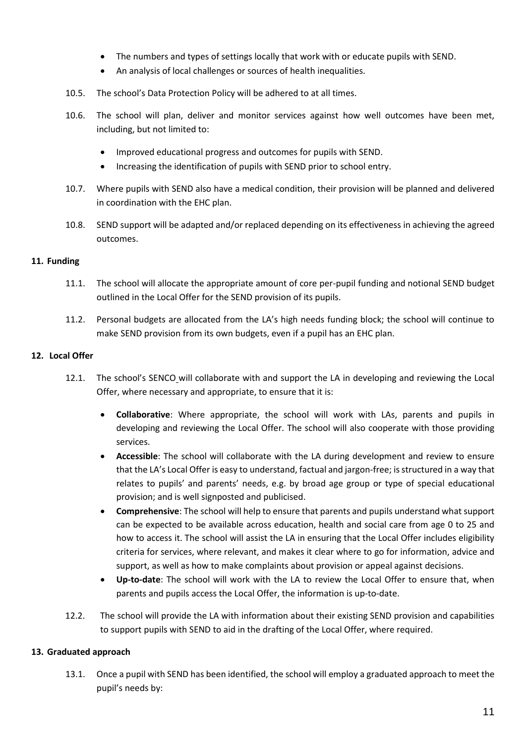- The numbers and types of settings locally that work with or educate pupils with SEND.
- An analysis of local challenges or sources of health inequalities.
- 10.5. The school's Data Protection Policy will be adhered to at all times.
- 10.6. The school will plan, deliver and monitor services against how well outcomes have been met, including, but not limited to:
	- Improved educational progress and outcomes for pupils with SEND.
	- Increasing the identification of pupils with SEND prior to school entry.
- 10.7. Where pupils with SEND also have a medical condition, their provision will be planned and delivered in coordination with the EHC plan.
- 10.8. SEND support will be adapted and/or replaced depending on its effectiveness in achieving the agreed outcomes.

# <span id="page-11-0"></span>**11. Funding**

- 11.1. The school will allocate the appropriate amount of core per-pupil funding and notional SEND budget outlined in the Local Offer for the SEND provision of its pupils.
- 11.2. Personal budgets are allocated from the LA's high needs funding block; the school will continue to make SEND provision from its own budgets, even if a pupil has an EHC plan.

# <span id="page-11-1"></span>**12. Local Offer**

- 12.1. The school's SENCO will collaborate with and support the LA in developing and reviewing the Local Offer, where necessary and appropriate, to ensure that it is:
	- **Collaborative**: Where appropriate, the school will work with LAs, parents and pupils in developing and reviewing the Local Offer. The school will also cooperate with those providing services.
	- **Accessible**: The school will collaborate with the LA during development and review to ensure that the LA's Local Offer is easy to understand, factual and jargon-free; is structured in a way that relates to pupils' and parents' needs, e.g. by broad age group or type of special educational provision; and is well signposted and publicised.
	- **Comprehensive**: The school will help to ensure that parents and pupils understand what support can be expected to be available across education, health and social care from age 0 to 25 and how to access it. The school will assist the LA in ensuring that the Local Offer includes eligibility criteria for services, where relevant, and makes it clear where to go for information, advice and support, as well as how to make complaints about provision or appeal against decisions.
	- **Up-to-date**: The school will work with the LA to review the Local Offer to ensure that, when parents and pupils access the Local Offer, the information is up-to-date.
- 12.2. The school will provide the LA with information about their existing SEND provision and capabilities to support pupils with SEND to aid in the drafting of the Local Offer, where required.

# <span id="page-11-2"></span>**13. Graduated approach**

13.1. Once a pupil with SEND has been identified, the school will employ a graduated approach to meet the pupil's needs by: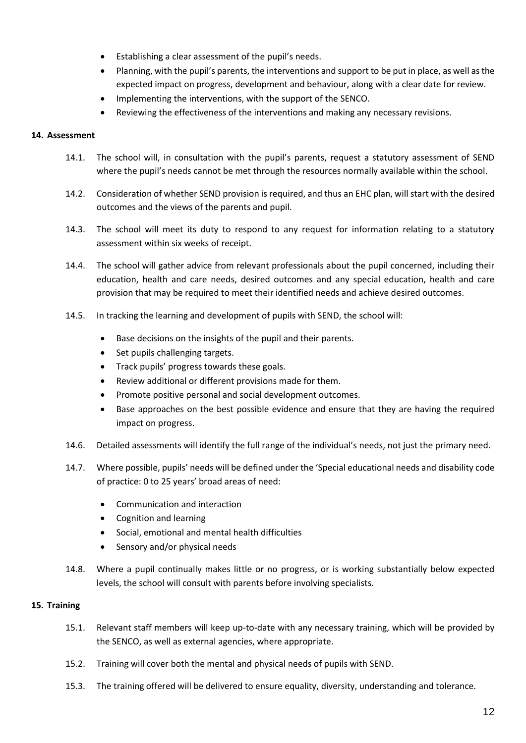- Establishing a clear assessment of the pupil's needs.
- Planning, with the pupil's parents, the interventions and support to be put in place, as well as the expected impact on progress, development and behaviour, along with a clear date for review.
- Implementing the interventions, with the support of the SENCO.
- Reviewing the effectiveness of the interventions and making any necessary revisions.

# <span id="page-12-0"></span>**14. Assessment**

- 14.1. The school will, in consultation with the pupil's parents, request a statutory assessment of SEND where the pupil's needs cannot be met through the resources normally available within the school.
- 14.2. Consideration of whether SEND provision is required, and thus an EHC plan, will start with the desired outcomes and the views of the parents and pupil.
- 14.3. The school will meet its duty to respond to any request for information relating to a statutory assessment within six weeks of receipt.
- 14.4. The school will gather advice from relevant professionals about the pupil concerned, including their education, health and care needs, desired outcomes and any special education, health and care provision that may be required to meet their identified needs and achieve desired outcomes.
- 14.5. In tracking the learning and development of pupils with SEND, the school will:
	- Base decisions on the insights of the pupil and their parents.
	- Set pupils challenging targets.
	- Track pupils' progress towards these goals.
	- Review additional or different provisions made for them.
	- Promote positive personal and social development outcomes.
	- Base approaches on the best possible evidence and ensure that they are having the required impact on progress.
- 14.6. Detailed assessments will identify the full range of the individual's needs, not just the primary need.
- 14.7. Where possible, pupils' needs will be defined under the 'Special educational needs and disability code of practice: 0 to 25 years' broad areas of need:
	- Communication and interaction
	- Cognition and learning
	- Social, emotional and mental health difficulties
	- Sensory and/or physical needs
- 14.8. Where a pupil continually makes little or no progress, or is working substantially below expected levels, the school will consult with parents before involving specialists.

# <span id="page-12-1"></span>**15. Training**

- 15.1. Relevant staff members will keep up-to-date with any necessary training, which will be provided by the SENCO, as well as external agencies, where appropriate.
- 15.2. Training will cover both the mental and physical needs of pupils with SEND.
- 15.3. The training offered will be delivered to ensure equality, diversity, understanding and tolerance.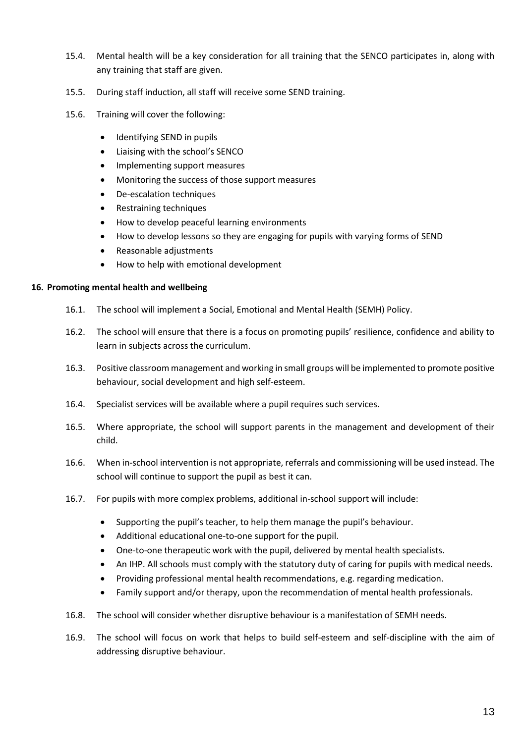- 15.4. Mental health will be a key consideration for all training that the SENCO participates in, along with any training that staff are given.
- 15.5. During staff induction, all staff will receive some SEND training.
- 15.6. Training will cover the following:
	- Identifying SEND in pupils
	- Liaising with the school's SENCO
	- Implementing support measures
	- Monitoring the success of those support measures
	- De-escalation techniques
	- Restraining techniques
	- How to develop peaceful learning environments
	- How to develop lessons so they are engaging for pupils with varying forms of SEND
	- Reasonable adjustments
	- How to help with emotional development

#### <span id="page-13-0"></span>**16. Promoting mental health and wellbeing**

- 16.1. The school will implement a Social, Emotional and Mental Health (SEMH) Policy.
- 16.2. The school will ensure that there is a focus on promoting pupils' resilience, confidence and ability to learn in subjects across the curriculum.
- 16.3. Positive classroom management and working in small groups will be implemented to promote positive behaviour, social development and high self-esteem.
- 16.4. Specialist services will be available where a pupil requires such services.
- 16.5. Where appropriate, the school will support parents in the management and development of their child.
- 16.6. When in-school intervention is not appropriate, referrals and commissioning will be used instead. The school will continue to support the pupil as best it can.
- 16.7. For pupils with more complex problems, additional in-school support will include:
	- Supporting the pupil's teacher, to help them manage the pupil's behaviour.
	- Additional educational one-to-one support for the pupil.
	- One-to-one therapeutic work with the pupil, delivered by mental health specialists.
	- An IHP. All schools must comply with the statutory duty of caring for pupils with medical needs.
	- Providing professional mental health recommendations, e.g. regarding medication.
	- Family support and/or therapy, upon the recommendation of mental health professionals.
- 16.8. The school will consider whether disruptive behaviour is a manifestation of SEMH needs.
- 16.9. The school will focus on work that helps to build self-esteem and self-discipline with the aim of addressing disruptive behaviour.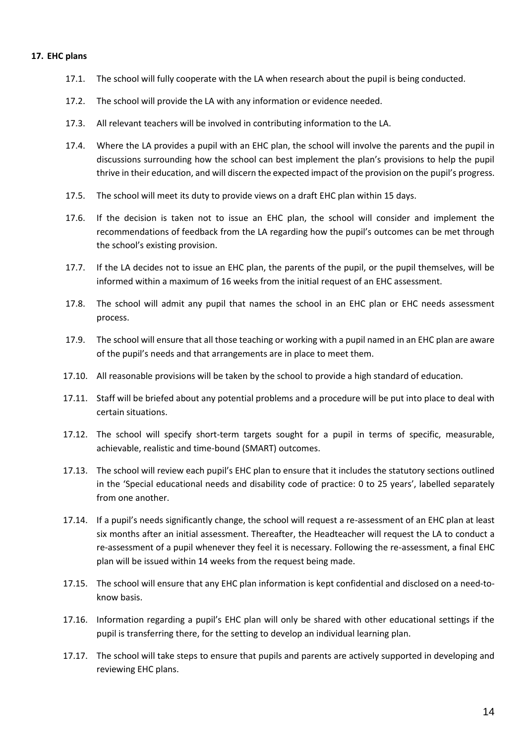#### <span id="page-14-0"></span>**17. EHC plans**

- 17.1. The school will fully cooperate with the LA when research about the pupil is being conducted.
- 17.2. The school will provide the LA with any information or evidence needed.
- 17.3. All relevant teachers will be involved in contributing information to the LA.
- 17.4. Where the LA provides a pupil with an EHC plan, the school will involve the parents and the pupil in discussions surrounding how the school can best implement the plan's provisions to help the pupil thrive in their education, and will discern the expected impact of the provision on the pupil's progress.
- 17.5. The school will meet its duty to provide views on a draft EHC plan within 15 days.
- 17.6. If the decision is taken not to issue an EHC plan, the school will consider and implement the recommendations of feedback from the LA regarding how the pupil's outcomes can be met through the school's existing provision.
- 17.7. If the LA decides not to issue an EHC plan, the parents of the pupil, or the pupil themselves, will be informed within a maximum of 16 weeks from the initial request of an EHC assessment.
- 17.8. The school will admit any pupil that names the school in an EHC plan or EHC needs assessment process.
- 17.9. The school will ensure that all those teaching or working with a pupil named in an EHC plan are aware of the pupil's needs and that arrangements are in place to meet them.
- 17.10. All reasonable provisions will be taken by the school to provide a high standard of education.
- 17.11. Staff will be briefed about any potential problems and a procedure will be put into place to deal with certain situations.
- 17.12. The school will specify short-term targets sought for a pupil in terms of specific, measurable, achievable, realistic and time-bound (SMART) outcomes.
- 17.13. The school will review each pupil's EHC plan to ensure that it includes the statutory sections outlined in the 'Special educational needs and disability code of practice: 0 to 25 years', labelled separately from one another.
- 17.14. If a pupil's needs significantly change, the school will request a re-assessment of an EHC plan at least six months after an initial assessment. Thereafter, the Headteacher will request the LA to conduct a re-assessment of a pupil whenever they feel it is necessary. Following the re-assessment, a final EHC plan will be issued within 14 weeks from the request being made.
- 17.15. The school will ensure that any EHC plan information is kept confidential and disclosed on a need-toknow basis.
- 17.16. Information regarding a pupil's EHC plan will only be shared with other educational settings if the pupil is transferring there, for the setting to develop an individual learning plan.
- 17.17. The school will take steps to ensure that pupils and parents are actively supported in developing and reviewing EHC plans.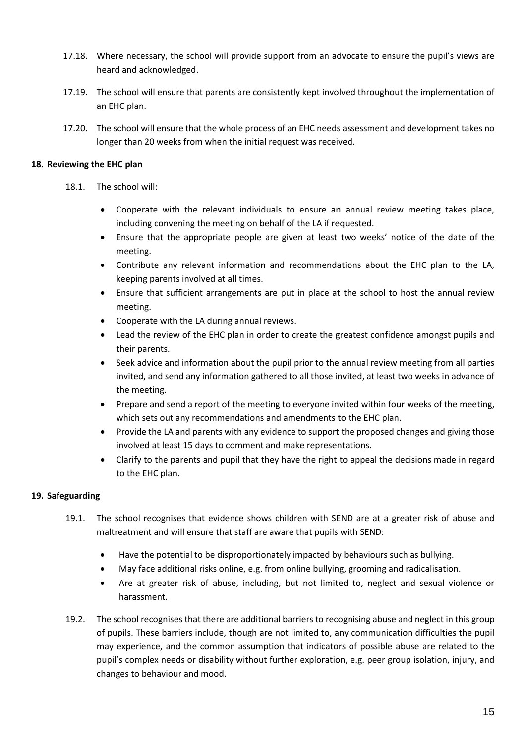- 17.18. Where necessary, the school will provide support from an advocate to ensure the pupil's views are heard and acknowledged.
- 17.19. The school will ensure that parents are consistently kept involved throughout the implementation of an EHC plan.
- 17.20. The school will ensure that the whole process of an EHC needs assessment and development takes no longer than 20 weeks from when the initial request was received.

# <span id="page-15-0"></span>**18. Reviewing the EHC plan**

- 18.1. The school will:
	- Cooperate with the relevant individuals to ensure an annual review meeting takes place, including convening the meeting on behalf of the LA if requested.
	- Ensure that the appropriate people are given at least two weeks' notice of the date of the meeting.
	- Contribute any relevant information and recommendations about the EHC plan to the LA, keeping parents involved at all times.
	- Ensure that sufficient arrangements are put in place at the school to host the annual review meeting.
	- Cooperate with the LA during annual reviews.
	- Lead the review of the EHC plan in order to create the greatest confidence amongst pupils and their parents.
	- Seek advice and information about the pupil prior to the annual review meeting from all parties invited, and send any information gathered to all those invited, at least two weeks in advance of the meeting.
	- Prepare and send a report of the meeting to everyone invited within four weeks of the meeting, which sets out any recommendations and amendments to the EHC plan.
	- Provide the LA and parents with any evidence to support the proposed changes and giving those involved at least 15 days to comment and make representations.
	- Clarify to the parents and pupil that they have the right to appeal the decisions made in regard to the EHC plan.

# <span id="page-15-1"></span>**19. Safeguarding**

- 19.1. The school recognises that evidence shows children with SEND are at a greater risk of abuse and maltreatment and will ensure that staff are aware that pupils with SEND:
	- Have the potential to be disproportionately impacted by behaviours such as bullying.
	- May face additional risks online, e.g. from online bullying, grooming and radicalisation.
	- Are at greater risk of abuse, including, but not limited to, neglect and sexual violence or harassment.
- 19.2. The school recognises that there are additional barriers to recognising abuse and neglect in this group of pupils. These barriers include, though are not limited to, any communication difficulties the pupil may experience, and the common assumption that indicators of possible abuse are related to the pupil's complex needs or disability without further exploration, e.g. peer group isolation, injury, and changes to behaviour and mood.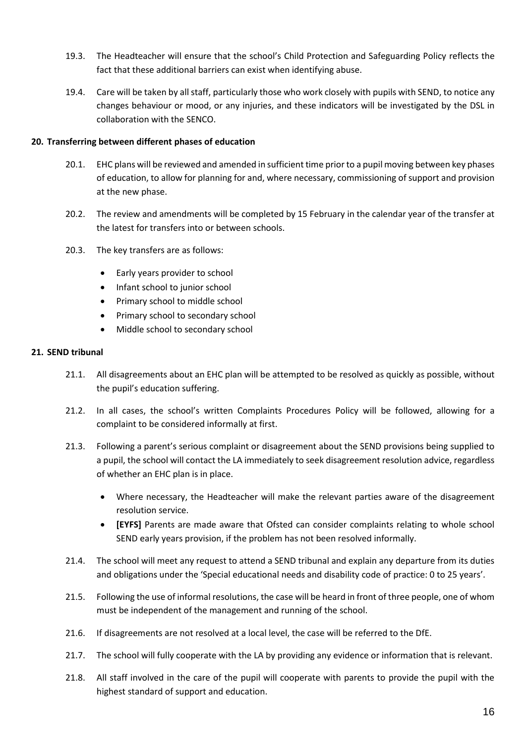- 19.3. The Headteacher will ensure that the school's Child Protection and Safeguarding Policy reflects the fact that these additional barriers can exist when identifying abuse.
- 19.4. Care will be taken by all staff, particularly those who work closely with pupils with SEND, to notice any changes behaviour or mood, or any injuries, and these indicators will be investigated by the DSL in collaboration with the SENCO.

# <span id="page-16-0"></span>**20. Transferring between different phases of education**

- 20.1. EHC plans will be reviewed and amended in sufficient time prior to a pupil moving between key phases of education, to allow for planning for and, where necessary, commissioning of support and provision at the new phase.
- 20.2. The review and amendments will be completed by 15 February in the calendar year of the transfer at the latest for transfers into or between schools.
- 20.3. The key transfers are as follows:
	- Early years provider to school
	- Infant school to junior school
	- Primary school to middle school
	- Primary school to secondary school
	- Middle school to secondary school

# <span id="page-16-1"></span>**21. SEND tribunal**

- 21.1. All disagreements about an EHC plan will be attempted to be resolved as quickly as possible, without the pupil's education suffering.
- 21.2. In all cases, the school's written Complaints Procedures Policy will be followed, allowing for a complaint to be considered informally at first.
- 21.3. Following a parent's serious complaint or disagreement about the SEND provisions being supplied to a pupil, the school will contact the LA immediately to seek disagreement resolution advice, regardless of whether an EHC plan is in place.
	- Where necessary, the Headteacher will make the relevant parties aware of the disagreement resolution service.
	- **[EYFS]** Parents are made aware that Ofsted can consider complaints relating to whole school SEND early years provision, if the problem has not been resolved informally.
- 21.4. The school will meet any request to attend a SEND tribunal and explain any departure from its duties and obligations under the 'Special educational needs and disability code of practice: 0 to 25 years'.
- 21.5. Following the use of informal resolutions, the case will be heard in front of three people, one of whom must be independent of the management and running of the school.
- 21.6. If disagreements are not resolved at a local level, the case will be referred to the DfE.
- 21.7. The school will fully cooperate with the LA by providing any evidence or information that is relevant.
- 21.8. All staff involved in the care of the pupil will cooperate with parents to provide the pupil with the highest standard of support and education.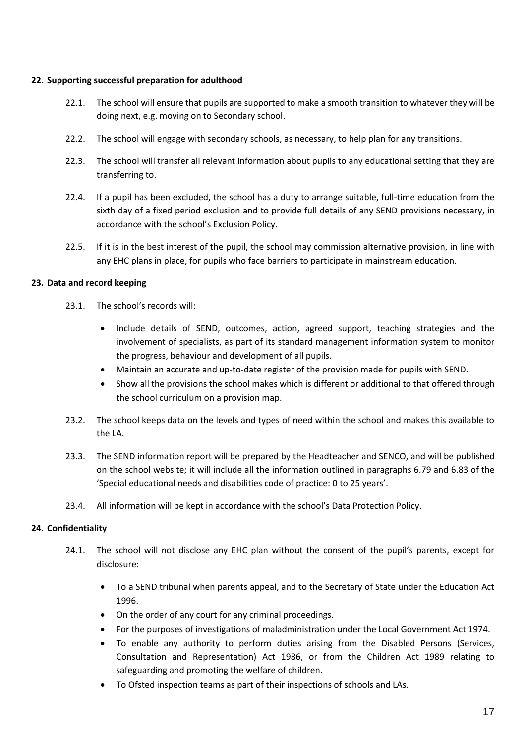# <span id="page-17-0"></span>**22. Supporting successful preparation for adulthood**

- 22.1. The school will ensure that pupils are supported to make a smooth transition to whatever they will be doing next, e.g. moving on to Secondary school.
- 22.2. The school will engage with secondary schools, as necessary, to help plan for any transitions.
- 22.3. The school will transfer all relevant information about pupils to any educational setting that they are transferring to.
- 22.4. If a pupil has been excluded, the school has a duty to arrange suitable, full-time education from the sixth day of a fixed period exclusion and to provide full details of any SEND provisions necessary, in accordance with the school's Exclusion Policy.
- 22.5. If it is in the best interest of the pupil, the school may commission alternative provision, in line with any EHC plans in place, for pupils who face barriers to participate in mainstream education.

#### <span id="page-17-1"></span>**23. Data and record keeping**

- 23.1. The school's records will:
	- Include details of SEND, outcomes, action, agreed support, teaching strategies and the involvement of specialists, as part of its standard management information system to monitor the progress, behaviour and development of all pupils.
	- Maintain an accurate and up-to-date register of the provision made for pupils with SEND.
	- Show all the provisions the school makes which is different or additional to that offered through the school curriculum on a provision map.
- 23.2. The school keeps data on the levels and types of need within the school and makes this available to the LA.
- 23.3. The SEND information report will be prepared by the Headteacher and SENCO, and will be published on the school website; it will include all the information outlined in paragraphs 6.79 and 6.83 of the 'Special educational needs and disabilities code of practice: 0 to 25 years'.
- 23.4. All information will be kept in accordance with the school's Data Protection Policy.

#### <span id="page-17-2"></span>**24. Confidentiality**

- 24.1. The school will not disclose any EHC plan without the consent of the pupil's parents, except for disclosure:
	- To a SEND tribunal when parents appeal, and to the Secretary of State under the Education Act 1996.
	- On the order of any court for any criminal proceedings.
	- For the purposes of investigations of maladministration under the Local Government Act 1974.
	- To enable any authority to perform duties arising from the Disabled Persons (Services, Consultation and Representation) Act 1986, or from the Children Act 1989 relating to safeguarding and promoting the welfare of children.
	- To Ofsted inspection teams as part of their inspections of schools and LAs.